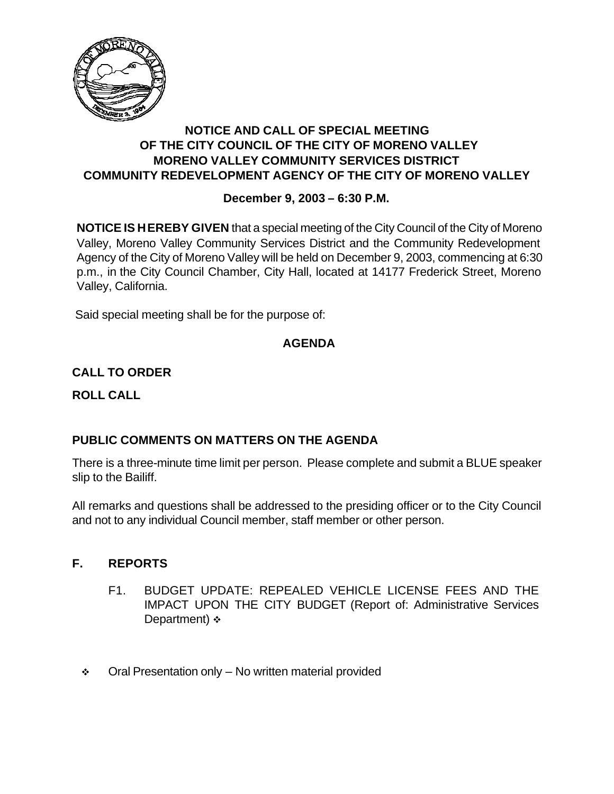

## **NOTICE AND CALL OF SPECIAL MEETING OF THE CITY COUNCIL OF THE CITY OF MORENO VALLEY MORENO VALLEY COMMUNITY SERVICES DISTRICT COMMUNITY REDEVELOPMENT AGENCY OF THE CITY OF MORENO VALLEY**

## **December 9, 2003 – 6:30 P.M.**

**NOTICE IS HEREBY GIVEN** that a special meeting of the City Council of the City of Moreno Valley, Moreno Valley Community Services District and the Community Redevelopment Agency of the City of Moreno Valley will be held on December 9, 2003, commencing at 6:30 p.m., in the City Council Chamber, City Hall, located at 14177 Frederick Street, Moreno Valley, California.

Said special meeting shall be for the purpose of:

## **AGENDA**

# **CALL TO ORDER**

**ROLL CALL**

## **PUBLIC COMMENTS ON MATTERS ON THE AGENDA**

There is a three-minute time limit per person. Please complete and submit a BLUE speaker slip to the Bailiff.

All remarks and questions shall be addressed to the presiding officer or to the City Council and not to any individual Council member, staff member or other person.

## **F. REPORTS**

- F1. BUDGET UPDATE: REPEALED VEHICLE LICENSE FEES AND THE IMPACT UPON THE CITY BUDGET (Report of: Administrative Services Department)  $\div$
- $\div$  Oral Presentation only No written material provided